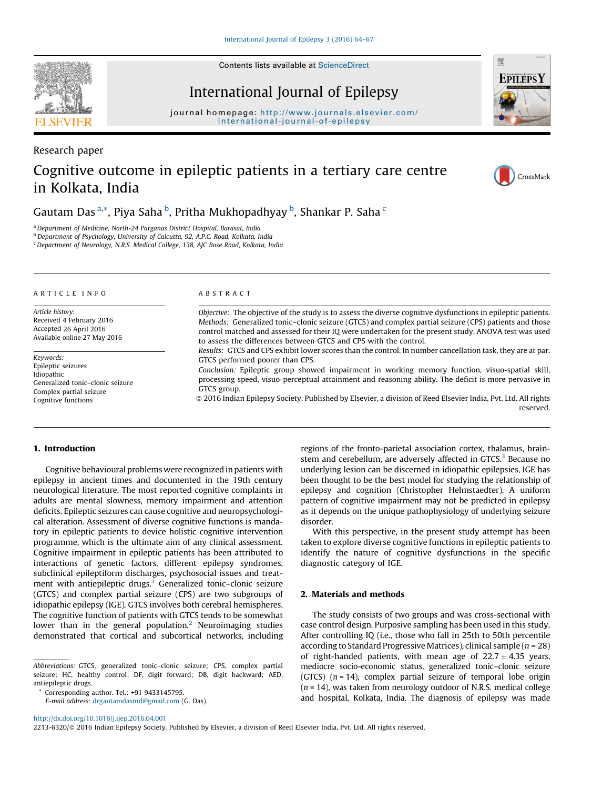Contents lists available at [ScienceDirect](http://www.sciencedirect.com/science/journal/22136320)

# International Journal of Epilepsy

journal homepage: [http://www.journals.elsevier.com/](http://www.journals.elsevier.com/international-journal-of-epilepsy) [i nternational-journal-of -epilepsy](http://www.journals.elsevier.com/international-journal-of-epilepsy)

# Research paper

# Cognitive outcome in epileptic patients in a tertiary care centre in Kolkata, India

Gautam Das<sup>a,</sup>\*, Piya Saha <sup>b</sup>, Pritha Mukhopadhyay <sup>b</sup>, Shankar P. Saha <sup>c</sup>

<sup>a</sup> Department of Medicine, North-24 Parganas District Hospital, Barasat, India

<sup>b</sup> Department of Psychology, University of Calcutta, 92, A.P.C. Road, Kolkata, India

<sup>c</sup> Department of Neurology, N.R.S. Medical College, 138, AJC Bose Road, Kolkata, India

#### A R T I C L E I N F O

Article history: Received 4 February 2016 Accepted 26 April 2016 Available online 27 May 2016

Keywords: Epileptic seizures Idiopathic Generalized tonic–clonic seizure Complex partial seizure Cognitive functions

#### A B S T R A C T

Objective: The objective of the study is to assess the diverse cognitive dysfunctions in epileptic patients. Methods: Generalized tonic–clonic seizure (GTCS) and complex partial seizure (CPS) patients and those control matched and assessed for their IQ were undertaken for the present study. ANOVA test was used to assess the differences between GTCS and CPS with the control.

Results: GTCS and CPS exhibit lower scores than the control. In number cancellation task, they are at par. GTCS performed poorer than CPS.

Conclusion: Epileptic group showed impairment in working memory function, visuo-spatial skill, processing speed, visuo-perceptual attainment and reasoning ability. The deficit is more pervasive in GTCS group.

© 2016 Indian Epilepsy Society. Published by Elsevier, a division of Reed Elsevier India, Pvt. Ltd. All rights reserved.

## 1. Introduction

Cognitive behavioural problems were recognized inpatients with epilepsy in ancient times and documented in the 19th century neurological literature. The most reported cognitive complaints in adults are mental slowness, memory impairment and attention deficits. Epileptic seizures can cause cognitive and neuropsychological alteration. Assessment of diverse cognitive functions is mandatory in epileptic patients to device holistic cognitive intervention programme, which is the ultimate aim of any clinical assessment. Cognitive impairment in epileptic patients has been attributed to interactions of genetic factors, different epilepsy syndromes, subclinical epileptiform discharges, psychosocial issues and treatment with antiepileptic drugs.<sup>1</sup> Generalized tonic-clonic seizure (GTCS) and complex partial seizure (CPS) are two subgroups of idiopathic epilepsy (IGE). GTCS involves both cerebral hemispheres. The cognitive function of patients with GTCS tends to be somewhat lower than in the general population.<sup>2</sup> Neuroimaging studies demonstrated that cortical and subcortical networks, including

Abbreviations: GTCS, generalized tonic–clonic seizure; CPS, complex partial seizure; HC, healthy control; DF, digit forward; DB, digit backward; AED, antiepileptic drugs.

Corresponding author. Tel.: +91 9433145795.

E-mail address: [drgautamdasmd@gmail.com](mailto:drgautamdasmd@gmail.com) (G. Das).

regions of the fronto-parietal association cortex, thalamus, brainstem and cerebellum, are adversely affected in GTCS.<sup>3</sup> Because no underlying lesion can be discerned in idiopathic epilepsies, IGE has been thought to be the best model for studying the relationship of epilepsy and cognition (Christopher Helmstaedter). A uniform pattern of cognitive impairment may not be predicted in epilepsy as it depends on the unique pathophysiology of underlying seizure disorder.

With this perspective, in the present study attempt has been taken to explore diverse cognitive functions in epileptic patients to identify the nature of cognitive dysfunctions in the specific diagnostic category of IGE.

# 2. Materials and methods

The study consists of two groups and was cross-sectional with case control design. Purposive sampling has been used in this study. After controlling IQ (i.e., those who fall in 25th to 50th percentile according to Standard Progressive Matrices), clinical sample ( $n = 28$ ) of right-handed patients, with mean age of  $22.7 \pm 4.35$  years, mediocre socio-economic status, generalized tonic–clonic seizure (GTCS)  $(n = 14)$ , complex partial seizure of temporal lobe origin  $(n = 14)$ , was taken from neurology outdoor of N.R.S. medical college and hospital, Kolkata, India. The diagnosis of epilepsy was made



CrossMark





2213-6320/© 2016 Indian Epilepsy Society. Published by Elsevier, a division of Reed Elsevier India, Pvt. Ltd. All rights reserved.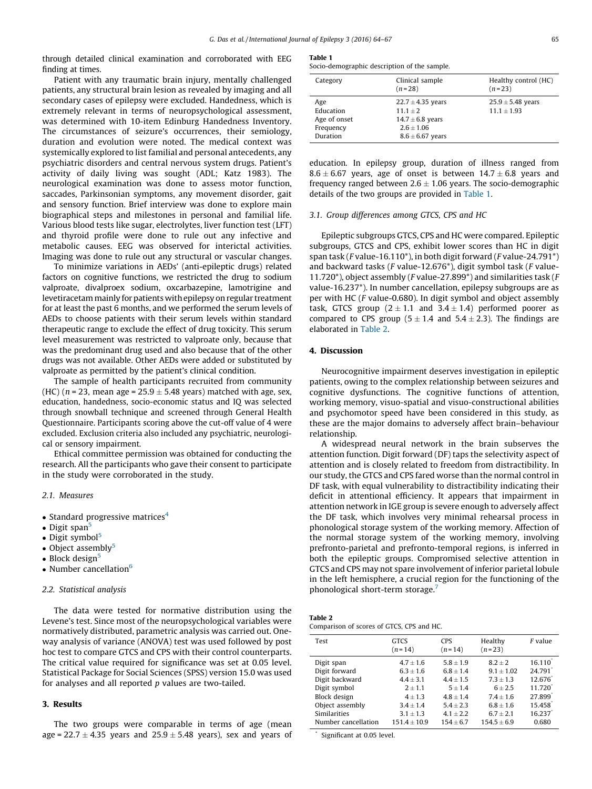through detailed clinical examination and corroborated with EEG finding at times.

Patient with any traumatic brain injury, mentally challenged patients, any structural brain lesion as revealed by imaging and all secondary cases of epilepsy were excluded. Handedness, which is extremely relevant in terms of neuropsychological assessment, was determined with 10-item Edinburg Handedness Inventory. The circumstances of seizure's occurrences, their semiology, duration and evolution were noted. The medical context was systemically explored to list familial and personal antecedents, any psychiatric disorders and central nervous system drugs. Patient's activity of daily living was sought (ADL; Katz 1983). The neurological examination was done to assess motor function, saccades, Parkinsonian symptoms, any movement disorder, gait and sensory function. Brief interview was done to explore main biographical steps and milestones in personal and familial life. Various blood tests like sugar, electrolytes, liver function test (LFT) and thyroid profile were done to rule out any infective and metabolic causes. EEG was observed for interictal activities. Imaging was done to rule out any structural or vascular changes.

To minimize variations in AEDs' (anti-epileptic drugs) related factors on cognitive functions, we restricted the drug to sodium valproate, divalproex sodium, oxcarbazepine, lamotrigine and levetiracetam mainly for patients withepilepsy onregular treatment for at least the past 6 months, and we performed the serum levels of AEDs to choose patients with their serum levels within standard therapeutic range to exclude the effect of drug toxicity. This serum level measurement was restricted to valproate only, because that was the predominant drug used and also because that of the other drugs was not available. Other AEDs were added or substituted by valproate as permitted by the patient's clinical condition.

The sample of health participants recruited from community (HC) ( $n$  = 23, mean age = 25.9  $\pm$  5.48 years) matched with age, sex, education, handedness, socio-economic status and IQ was selected through snowball technique and screened through General Health Questionnaire. Participants scoring above the cut-off value of 4 were excluded. Exclusion criteria also included any psychiatric, neurological or sensory impairment.

Ethical committee permission was obtained for conducting the research. All the participants who gave their consent to participate in the study were corroborated in the study.

### 2.1. Measures

- Standard progressive matrices $4$
- $\bullet$  Digit span<sup>[5](#page-3-0)</sup>
- $\bullet$  Digit symbol<sup>[5](#page-3-0)</sup>
- $\bullet$  Object assembly<sup>[5](#page-3-0)</sup>
- $\bullet$  Block design<sup>[5](#page-3-0)</sup>
- Number cancellation $<sup>6</sup>$  $<sup>6</sup>$  $<sup>6</sup>$ </sup>

#### 2.2. Statistical analysis

The data were tested for normative distribution using the Levene's test. Since most of the neuropsychological variables were normatively distributed, parametric analysis was carried out. Oneway analysis of variance (ANOVA) test was used followed by post hoc test to compare GTCS and CPS with their control counterparts. The critical value required for significance was set at 0.05 level. Statistical Package for Social Sciences (SPSS) version 15.0 was used for analyses and all reported  $p$  values are two-tailed.

# 3. Results

The two groups were comparable in terms of age (mean age = 22.7  $\pm$  4.35 years and 25.9  $\pm$  5.48 years), sex and years of

#### Table 1

Socio-demographic description of the sample.

| Category                                                  | Clinical sample<br>$(n=28)$                                                                         | Healthy control (HC)<br>$(n=23)$         |
|-----------------------------------------------------------|-----------------------------------------------------------------------------------------------------|------------------------------------------|
| Age<br>Education<br>Age of onset<br>Frequency<br>Duration | $22.7 \pm 4.35$ years<br>$11.1 + 2$<br>$14.7 \pm 6.8$ years<br>$2.6 + 1.06$<br>$8.6 \pm 6.67$ years | $25.9 \pm 5.48$ years<br>$11.1 \pm 1.93$ |

education. In epilepsy group, duration of illness ranged from  $8.6 \pm 6.67$  years, age of onset is between 14.7  $\pm$  6.8 years and frequency ranged between 2.6  $\pm$  1.06 years. The socio-demographic details of the two groups are provided in Table 1.

#### 3.1. Group differences among GTCS, CPS and HC

Epileptic subgroups GTCS, CPS and HC were compared. Epileptic subgroups, GTCS and CPS, exhibit lower scores than HC in digit span task (F value-16.110\*), in both digit forward (F value-24.791\*) and backward tasks (F value-12.676\*), digit symbol task (F value-11.720\*), object assembly (F value-27.899\*) and similarities task (F value-16.237\*). In number cancellation, epilepsy subgroups are as per with HC (F value-0.680). In digit symbol and object assembly task, GTCS group (2  $\pm$  1.1 and 3.4  $\pm$  1.4) performed poorer as compared to CPS group (5  $\pm$  1.4 and 5.4  $\pm$  2.3). The findings are elaborated in Table 2.

## 4. Discussion

Neurocognitive impairment deserves investigation in epileptic patients, owing to the complex relationship between seizures and cognitive dysfunctions. The cognitive functions of attention, working memory, visuo-spatial and visuo-constructional abilities and psychomotor speed have been considered in this study, as these are the major domains to adversely affect brain–behaviour relationship.

A widespread neural network in the brain subserves the attention function. Digit forward (DF) taps the selectivity aspect of attention and is closely related to freedom from distractibility. In our study, the GTCS and CPS fared worse than the normal control in DF task, with equal vulnerability to distractibility indicating their deficit in attentional efficiency. It appears that impairment in attention network in IGE group is severe enough to adversely affect the DF task, which involves very minimal rehearsal process in phonological storage system of the working memory. Affection of the normal storage system of the working memory, involving prefronto-parietal and prefronto-temporal regions, is inferred in both the epileptic groups. Compromised selective attention in GTCS and CPS may not spare involvement of inferior parietal lobule in the left hemisphere, a crucial region for the functioning of the phonological short-term storage.[7](#page-3-0)

| Table 2                                   |  |  |  |
|-------------------------------------------|--|--|--|
| Comparison of scores of GTCS, CPS and HC. |  |  |  |

| Test                | <b>GTCS</b><br>$(n=14)$ | <b>CPS</b><br>$(n=14)$ | Healthy<br>$(n=23)$ | F value |
|---------------------|-------------------------|------------------------|---------------------|---------|
| Digit span          | $4.7 + 1.6$             | $5.8 + 1.9$            | $8.2 + 2$           | 16.110  |
| Digit forward       | $6.3 + 1.6$             | $6.8 + 1.4$            | $9.1 + 1.02$        | 24.791  |
| Digit backward      | $4.4 + 3.1$             | $4.4 + 1.5$            | $7.3 + 1.3$         | 12.676  |
| Digit symbol        | $2 + 1.1$               | $5 + 1.4$              | $6 + 2.5$           | 11.720  |
| <b>Block</b> design | $4 + 1.3$               | $4.8 + 1.4$            | $7.4 + 1.6$         | 27.899  |
| Object assembly     | $3.4 + 1.4$             | $5.4 + 2.3$            | $6.8 + 1.6$         | 15.458  |
| <b>Similarities</b> | $3.1 + 1.3$             | $4.1 + 2.2$            | $6.7 + 2.1$         | 16.237  |
| Number cancellation | $151.4 + 10.9$          | $154 + 6.7$            | $154.5 + 6.9$       | 0.680   |

Significant at 0.05 level.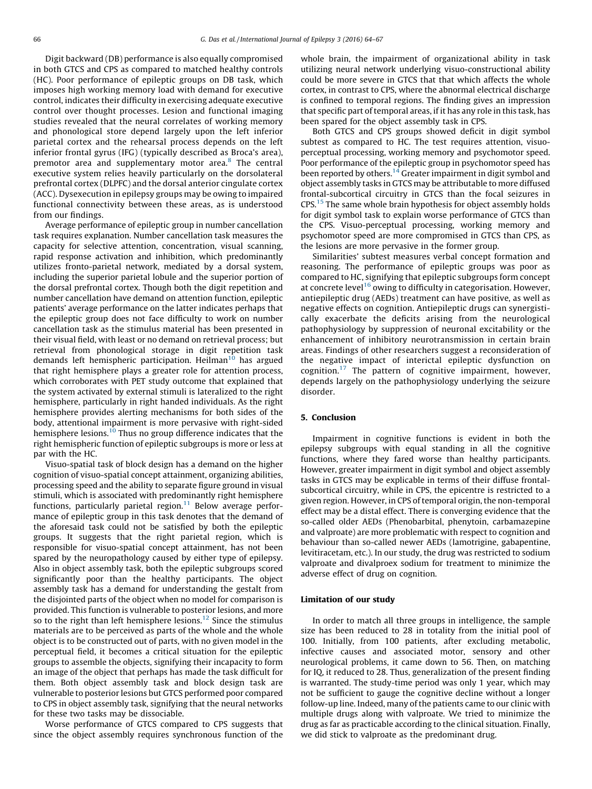Digit backward (DB) performance is also equally compromised in both GTCS and CPS as compared to matched healthy controls (HC). Poor performance of epileptic groups on DB task, which imposes high working memory load with demand for executive control, indicates their difficulty in exercising adequate executive control over thought processes. Lesion and functional imaging studies revealed that the neural correlates of working memory and phonological store depend largely upon the left inferior parietal cortex and the rehearsal process depends on the left inferior frontal gyrus (IFG) (typically described as Broca's area), premotor area and supplementary motor area.<sup>[8](#page-3-0)</sup> The central executive system relies heavily particularly on the dorsolateral prefrontal cortex (DLPFC) and the dorsal anterior cingulate cortex (ACC). Dysexecution in epilepsy groups may be owing to impaired functional connectivity between these areas, as is understood from our findings.

Average performance of epileptic group in number cancellation task requires explanation. Number cancellation task measures the capacity for selective attention, concentration, visual scanning, rapid response activation and inhibition, which predominantly utilizes fronto-parietal network, mediated by a dorsal system, including the superior parietal lobule and the superior portion of the dorsal prefrontal cortex. Though both the digit repetition and number cancellation have demand on attention function, epileptic patients' average performance on the latter indicates perhaps that the epileptic group does not face difficulty to work on number cancellation task as the stimulus material has been presented in their visual field, with least or no demand on retrieval process; but retrieval from phonological storage in digit repetition task demands left hemispheric participation. Heilman<sup>[10](#page-3-0)</sup> has argued that right hemisphere plays a greater role for attention process, which corroborates with PET study outcome that explained that the system activated by external stimuli is lateralized to the right hemisphere, particularly in right handed individuals. As the right hemisphere provides alerting mechanisms for both sides of the body, attentional impairment is more pervasive with right-sided hemisphere lesions.<sup>[10](#page-3-0)</sup> Thus no group difference indicates that the right hemispheric function of epileptic subgroups is more or less at par with the HC.

Visuo-spatial task of block design has a demand on the higher cognition of visuo-spatial concept attainment, organizing abilities, processing speed and the ability to separate figure ground in visual stimuli, which is associated with predominantly right hemisphere functions, particularly parietal region. $11$  Below average performance of epileptic group in this task denotes that the demand of the aforesaid task could not be satisfied by both the epileptic groups. It suggests that the right parietal region, which is responsible for visuo-spatial concept attainment, has not been spared by the neuropathology caused by either type of epilepsy. Also in object assembly task, both the epileptic subgroups scored significantly poor than the healthy participants. The object assembly task has a demand for understanding the gestalt from the disjointed parts of the object when no model for comparison is provided. This function is vulnerable to posterior lesions, and more so to the right than left hemisphere lesions.<sup>[12](#page-3-0)</sup> Since the stimulus materials are to be perceived as parts of the whole and the whole object is to be constructed out of parts, with no given model in the perceptual field, it becomes a critical situation for the epileptic groups to assemble the objects, signifying their incapacity to form an image of the object that perhaps has made the task difficult for them. Both object assembly task and block design task are vulnerable to posterior lesions but GTCS performed poor compared to CPS in object assembly task, signifying that the neural networks for these two tasks may be dissociable.

Worse performance of GTCS compared to CPS suggests that since the object assembly requires synchronous function of the whole brain, the impairment of organizational ability in task utilizing neural network underlying visuo-constructional ability could be more severe in GTCS that that which affects the whole cortex, in contrast to CPS, where the abnormal electrical discharge is confined to temporal regions. The finding gives an impression that specific part of temporal areas, if it has any role in this task, has been spared for the object assembly task in CPS.

Both GTCS and CPS groups showed deficit in digit symbol subtest as compared to HC. The test requires attention, visuoperceptual processing, working memory and psychomotor speed. Poor performance of the epileptic group in psychomotor speed has been reported by others.<sup>[14](#page-3-0)</sup> Greater impairment in digit symbol and object assembly tasks in GTCS may be attributable to more diffused frontal-subcortical circuitry in GTCS than the focal seizures in CPS.[15](#page-3-0) The same whole brain hypothesis for object assembly holds for digit symbol task to explain worse performance of GTCS than the CPS. Visuo-perceptual processing, working memory and psychomotor speed are more compromised in GTCS than CPS, as the lesions are more pervasive in the former group.

Similarities' subtest measures verbal concept formation and reasoning. The performance of epileptic groups was poor as compared to HC, signifying that epileptic subgroups form concept at concrete level<sup>[16](#page-3-0)</sup> owing to difficulty in categorisation. However, antiepileptic drug (AEDs) treatment can have positive, as well as negative effects on cognition. Antiepileptic drugs can synergistically exacerbate the deficits arising from the neurological pathophysiology by suppression of neuronal excitability or the enhancement of inhibitory neurotransmission in certain brain areas. Findings of other researchers suggest a reconsideration of the negative impact of interictal epileptic dysfunction on cognition. $17$  The pattern of cognitive impairment, however, depends largely on the pathophysiology underlying the seizure disorder.

# 5. Conclusion

Impairment in cognitive functions is evident in both the epilepsy subgroups with equal standing in all the cognitive functions, where they fared worse than healthy participants. However, greater impairment in digit symbol and object assembly tasks in GTCS may be explicable in terms of their diffuse frontalsubcortical circuitry, while in CPS, the epicentre is restricted to a given region. However, in CPS of temporal origin, the non-temporal effect may be a distal effect. There is converging evidence that the so-called older AEDs (Phenobarbital, phenytoin, carbamazepine and valproate) are more problematic with respect to cognition and behaviour than so-called newer AEDs (lamotrigine, gabapentine, levitiracetam, etc.). In our study, the drug was restricted to sodium valproate and divalproex sodium for treatment to minimize the adverse effect of drug on cognition.

#### Limitation of our study

In order to match all three groups in intelligence, the sample size has been reduced to 28 in totality from the initial pool of 100. Initially, from 100 patients, after excluding metabolic, infective causes and associated motor, sensory and other neurological problems, it came down to 56. Then, on matching for IQ, it reduced to 28. Thus, generalization of the present finding is warranted. The study-time period was only 1 year, which may not be sufficient to gauge the cognitive decline without a longer follow-up line. Indeed, many of the patients came to our clinic with multiple drugs along with valproate. We tried to minimize the drug as far as practicable according to the clinical situation. Finally, we did stick to valproate as the predominant drug.